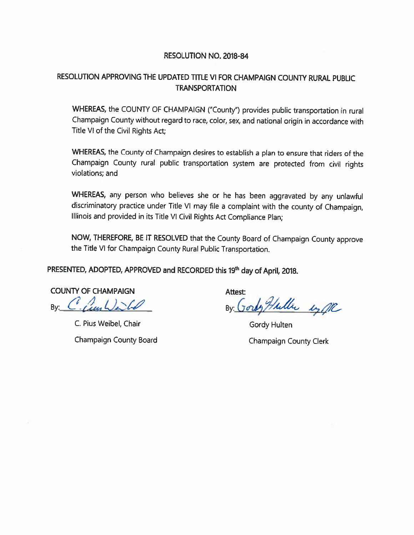#### RESOLUTION NO. 2018-84

#### RESOLUTION APPROVING THE UPDATED TITLE VI FOR CHAMPAIGN COUNTY RURAL PUBLIC **TRANSPORTATION**

WHEREAS, the COUNTY OF CHAMPAIGN ("County") provides public transportation in rural Champaign County without regard to race, color, sex, and national origin in accordance with Title VI of the Civil Rights Act:

WHEREAS, the County of Champaign desires to establish a plan to ensure that riders of the Champaign County rural public transportation system are protected from civil rights violations; and

WHEREAS, any person who believes she or he has been aggravated by any unlawful discriminatory practice under Title VI may file a complaint with the county of Champaign, Illinois and provided in its Title VI Civil Rights Act Compliance Plan;

NOW, THEREFORE, BE IT RESOLVED that the County Board of Champaign County approve the Title VI for Champaign County Rural Public Transportation.

PRESENTED, ADOPTED, APPROVED and RECORDED this 19th day of April, 2018.

**COUNTY OF CHAMPAIGN** By Clauble

C. Pius Weibel, Chair Champaign County Board

**Attest:** By Gordy Huller en MC

Gordy Hulten Champaign County Clerk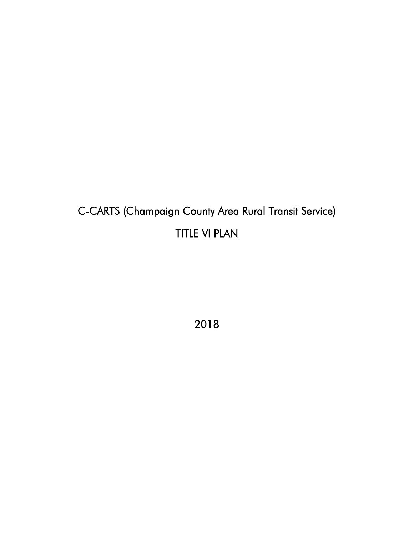# C-CARTS (Champaign County Area Rural Transit Service) TITLE VI PLAN

2018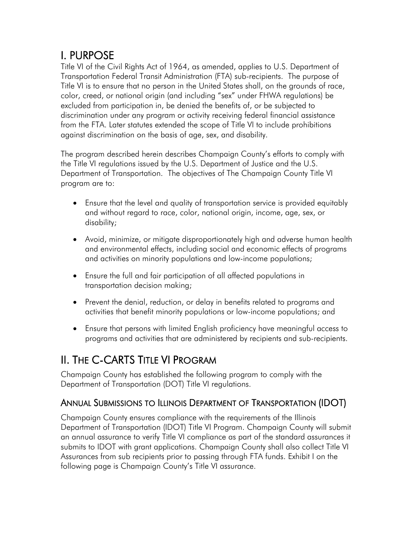**I. PURPOSE**<br>Title VI of the Civil Rights Act of 1964, as amended, applies to U.S. Department of Transportation Federal Transit Administration (FTA) sub-recipients. The purpose of Title VI is to ensure that no person in the United States shall, on the grounds of race, color, creed, or national origin (and including "sex" under FHWA regulations) be excluded from participation in, be denied the benefits of, or be subjected to discrimination under any program or activity receiving federal financial assistance from the FTA. Later statutes extended the scope of Title VI to include prohibitions against discrimination on the basis of age, sex, and disability.

The program described herein describes Champaign County's efforts to comply with the Title VI regulations issued by the U.S. Department of Justice and the U.S. Department of Transportation. The objectives of The Champaign County Title VI program are to:

- Ensure that the level and quality of transportation service is provided equitably and without regard to race, color, national origin, income, age, sex, or disability;
- Avoid, minimize, or mitigate disproportionately high and adverse human health and environmental effects, including social and economic effects of programs and activities on minority populations and low-income populations;
- Ensure the full and fair participation of all affected populations in transportation decision making;
- Prevent the denial, reduction, or delay in benefits related to programs and activities that benefit minority populations or low-income populations; and
- Ensure that persons with limited English proficiency have meaningful access to programs and activities that are administered by recipients and sub-recipients.

## II. THE C-CARTS TITLE VI PROGRAM

Champaign County has established the following program to comply with the Department of Transportation (DOT) Title VI regulations.

## ANNUAL SUBMISSIONS TO ILLINOIS DEPARTMENT OF TRANSPORTATION (IDOT)

Champaign County ensures compliance with the requirements of the Illinois Department of Transportation (IDOT) Title VI Program. Champaign County will submit an annual assurance to verify Title VI compliance as part of the standard assurances it submits to IDOT with grant applications. Champaign County shall also collect Title VI Assurances from sub recipients prior to passing through FTA funds. Exhibit I on the following page is Champaign County's Title VI assurance.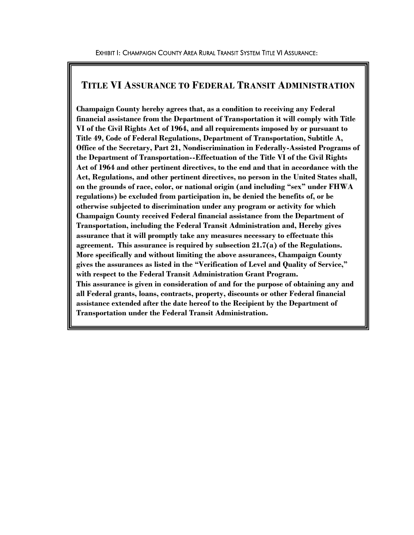#### **TITLE VI ASSURANCE TO FEDERAL TRANSIT ADMINISTRATION**

**Champaign County hereby agrees that, as a condition to receiving any Federal financial assistance from the Department of Transportation it will comply with Title VI of the Civil Rights Act of 1964, and all requirements imposed by or pursuant to Title 49, Code of Federal Regulations, Department of Transportation, Subtitle A, Office of the Secretary, Part 21, Nondiscrimination in Federally-Assisted Programs of the Department of Transportation--Effectuation of the Title VI of the Civil Rights Act of 1964 and other pertinent directives, to the end and that in accordance with the Act, Regulations, and other pertinent directives, no person in the United States shall, on the grounds of race, color, or national origin (and including "sex" under FHWA regulations) be excluded from participation in, be denied the benefits of, or be otherwise subjected to discrimination under any program or activity for which Champaign County received Federal financial assistance from the Department of Transportation, including the Federal Transit Administration and, Hereby gives assurance that it will promptly take any measures necessary to effectuate this agreement. This assurance is required by subsection 21.7(a) of the Regulations. More specifically and without limiting the above assurances, Champaign County gives the assurances as listed in the "Verification of Level and Quality of Service," with respect to the Federal Transit Administration Grant Program. This assurance is given in consideration of and for the purpose of obtaining any and all Federal grants, loans, contracts, property, discounts or other Federal financial assistance extended after the date hereof to the Recipient by the Department of Transportation under the Federal Transit Administration.**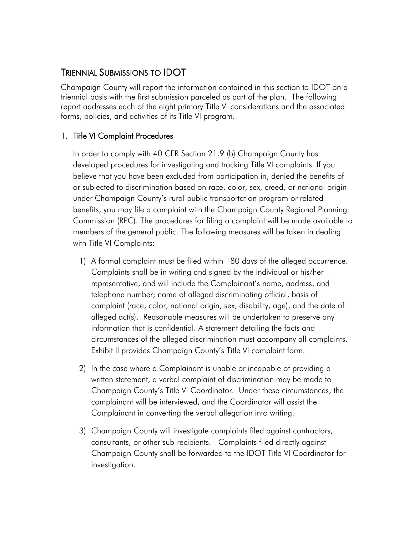## TRIENNIAL SUBMISSIONS TO IDOT

Champaign County will report the information contained in this section to IDOT on a triennial basis with the first submission parceled as part of the plan. The following report addresses each of the eight primary Title VI considerations and the associated forms, policies, and activities of its Title VI program.

#### 1. Title VI Complaint Procedures

In order to comply with 40 CFR Section 21.9 (b) Champaign County has developed procedures for investigating and tracking Title VI complaints. If you believe that you have been excluded from participation in, denied the benefits of or subjected to discrimination based on race, color, sex, creed, or national origin under Champaign County's rural public transportation program or related benefits, you may file a complaint with the Champaign County Regional Planning Commission (RPC). The procedures for filing a complaint will be made available to members of the general public. The following measures will be taken in dealing with Title VI Complaints:

- 1) A formal complaint must be filed within 180 days of the alleged occurrence. Complaints shall be in writing and signed by the individual or his/her representative, and will include the Complainant's name, address, and telephone number; name of alleged discriminating official, basis of complaint (race, color, national origin, sex, disability, age), and the date of alleged act(s). Reasonable measures will be undertaken to preserve any information that is confidential. A statement detailing the facts and circumstances of the alleged discrimination must accompany all complaints. Exhibit II provides Champaign County's Title VI complaint form.
- 2) In the case where a Complainant is unable or incapable of providing a written statement, a verbal complaint of discrimination may be made to Champaign County's Title VI Coordinator. Under these circumstances, the complainant will be interviewed, and the Coordinator will assist the Complainant in converting the verbal allegation into writing.
- 3) Champaign County will investigate complaints filed against contractors, consultants, or other sub-recipients. Complaints filed directly against Champaign County shall be forwarded to the IDOT Title VI Coordinator for investigation.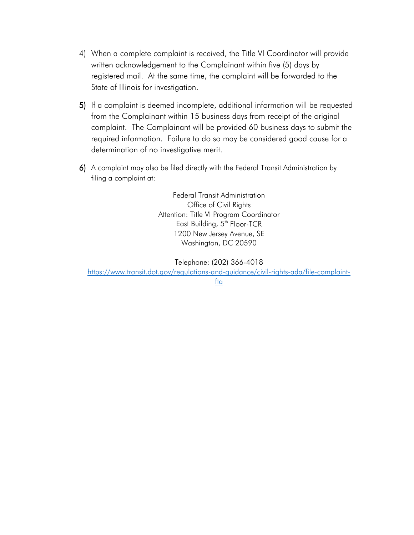- 4) When a complete complaint is received, the Title VI Coordinator will provide written acknowledgement to the Complainant within five (5) days by registered mail. At the same time, the complaint will be forwarded to the State of Illinois for investigation.
- 5) If a complaint is deemed incomplete, additional information will be requested from the Complainant within 15 business days from receipt of the original complaint. The Complainant will be provided 60 business days to submit the required information. Failure to do so may be considered good cause for a determination of no investigative merit.
- 6) A complaint may also be filed directly with the Federal Transit Administration by filing a complaint at:

Federal Transit Administration Office of Civil Rights Attention: Title VI Program Coordinator East Building, 5<sup>th</sup> Floor-TCR 1200 New Jersey Avenue, SE Washington, DC 20590

Telephone: (202) 366-4018 [https://www.transit.dot.gov/regulations-and-guidance/civil-rights-ada/file-complaint](https://www.transit.dot.gov/regulations-and-guidance/civil-rights-ada/file-complaint-fta)[fta](https://www.transit.dot.gov/regulations-and-guidance/civil-rights-ada/file-complaint-fta)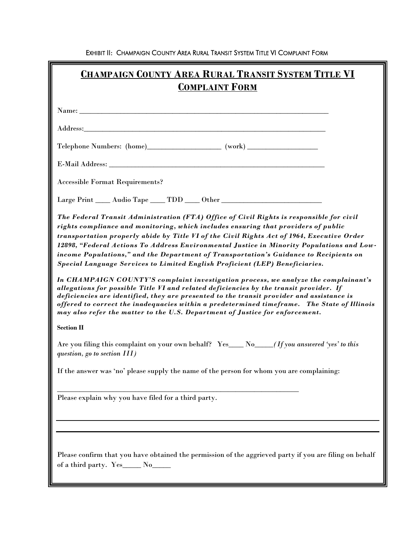EXHIBIT II: CHAMPAIGN COUNTY AREA RURAL TRANSIT SYSTEM TITLE VI COMPLAINT FORM

| <b>CHAMPAIGN COUNTY AREA RURAL TRANSIT SYSTEM TITLE VI</b><br><b>COMPLAINT FORM</b>                                                                                                                                                                                                                                                                                                                                                                                                                                                                                                                                                       |
|-------------------------------------------------------------------------------------------------------------------------------------------------------------------------------------------------------------------------------------------------------------------------------------------------------------------------------------------------------------------------------------------------------------------------------------------------------------------------------------------------------------------------------------------------------------------------------------------------------------------------------------------|
|                                                                                                                                                                                                                                                                                                                                                                                                                                                                                                                                                                                                                                           |
| Address: Note that the contract of the contract of the contract of the contract of the contract of the contract of the contract of the contract of the contract of the contract of the contract of the contract of the contrac                                                                                                                                                                                                                                                                                                                                                                                                            |
| Telephone Numbers: (home)________________________ (work) _______________________                                                                                                                                                                                                                                                                                                                                                                                                                                                                                                                                                          |
|                                                                                                                                                                                                                                                                                                                                                                                                                                                                                                                                                                                                                                           |
| <b>Accessible Format Requirements?</b>                                                                                                                                                                                                                                                                                                                                                                                                                                                                                                                                                                                                    |
| Large Print _____ Audio Tape _____ TDD _____ Other ______________________________                                                                                                                                                                                                                                                                                                                                                                                                                                                                                                                                                         |
| The Federal Transit Administration (FTA) Office of Civil Rights is responsible for civil<br>rights compliance and monitoring, which includes ensuring that providers of public<br>transportation properly abide by Title VI of the Civil Rights Act of 1964, Executive Order<br>12898, "Federal Actions To Address Environmental Justice in Minority Populations and Low-<br>income Populations," and the Department of Transportation's Guidance to Recipients on<br>Special Language Services to Limited English Proficient (LEP) Beneficiaries.<br>In CHAMPAIGN COUNTY'S complaint investigation process, we analyze the complainant's |
| allegations for possible Title VI and related deficiencies by the transit provider. If<br>deficiencies are identified, they are presented to the transit provider and assistance is<br>offered to correct the inadequacies within a predetermined timeframe. The State of Illinois<br>may also refer the matter to the U.S. Department of Justice for enforcement.                                                                                                                                                                                                                                                                        |
| <b>Section II</b>                                                                                                                                                                                                                                                                                                                                                                                                                                                                                                                                                                                                                         |
| Are you filing this complaint on your own behalf? Yes___ No___(If you answered 'yes' to this<br>question, go to section $III$ )                                                                                                                                                                                                                                                                                                                                                                                                                                                                                                           |
| If the answer was 'no' please supply the name of the person for whom you are complaining:                                                                                                                                                                                                                                                                                                                                                                                                                                                                                                                                                 |
| Please explain why you have filed for a third party.                                                                                                                                                                                                                                                                                                                                                                                                                                                                                                                                                                                      |
|                                                                                                                                                                                                                                                                                                                                                                                                                                                                                                                                                                                                                                           |
| Please confirm that you have obtained the permission of the aggrieved party if you are filing on behalf<br>of a third party. Yes______ No_____                                                                                                                                                                                                                                                                                                                                                                                                                                                                                            |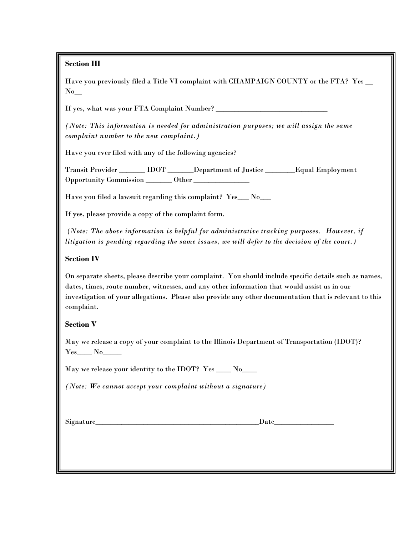#### **Section III**

Have you previously filed a Title VI complaint with CHAMPAIGN COUNTY or the FTA? Yes  $\_\_$  $No$ <sub>\_\_</sub>

If yes, what was your FTA Complaint Number? \_\_\_\_\_\_\_\_\_\_\_\_\_\_\_\_\_\_\_\_\_\_\_\_\_\_\_\_\_\_

*(Note: This information is needed for administration purposes; we will assign the same complaint number to the new complaint.)*

Have you ever filed with any of the following agencies?

Transit Provider \_\_\_\_\_\_\_ IDOT \_\_\_\_\_\_\_Department of Justice \_\_\_\_\_\_\_\_Equal Employment Opportunity Commission \_\_\_\_\_\_\_ Other \_\_\_\_\_\_\_\_\_\_\_\_\_\_\_

Have you filed a lawsuit regarding this complaint? Yes\_\_\_ No\_\_\_

If yes, please provide a copy of the complaint form.

(*Note: The above information is helpful for administrative tracking purposes. However, if litigation is pending regarding the same issues, we will defer to the decision of the court.)*

#### **Section IV**

On separate sheets, please describe your complaint. You should include specific details such as names, dates, times, route number, witnesses, and any other information that would assist us in our investigation of your allegations. Please also provide any other documentation that is relevant to this complaint.

#### **Section V**

May we release a copy of your complaint to the Illinois Department of Transportation (IDOT)? Yes\_\_\_\_ No\_\_\_\_\_

May we release your identity to the IDOT? Yes \_\_\_\_ No\_\_\_\_

*(Note: We cannot accept your complaint without a signature)*

 $Signature$   $Date$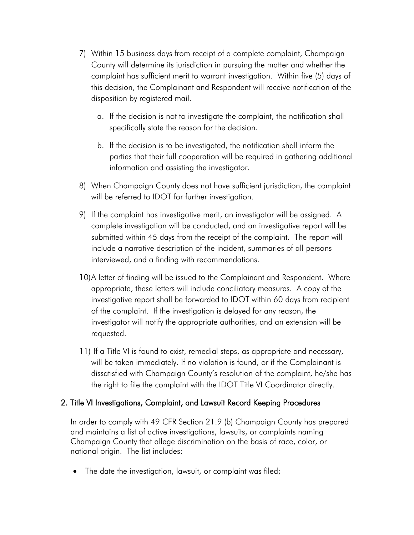- 7) Within 15 business days from receipt of a complete complaint, Champaign County will determine its jurisdiction in pursuing the matter and whether the complaint has sufficient merit to warrant investigation. Within five (5) days of this decision, the Complainant and Respondent will receive notification of the disposition by registered mail.
	- a. If the decision is not to investigate the complaint, the notification shall specifically state the reason for the decision.
	- b. If the decision is to be investigated, the notification shall inform the parties that their full cooperation will be required in gathering additional information and assisting the investigator.
- 8) When Champaign County does not have sufficient jurisdiction, the complaint will be referred to IDOT for further investigation.
- 9) If the complaint has investigative merit, an investigator will be assigned. A complete investigation will be conducted, and an investigative report will be submitted within 45 days from the receipt of the complaint. The report will include a narrative description of the incident, summaries of all persons interviewed, and a finding with recommendations.
- 10)A letter of finding will be issued to the Complainant and Respondent. Where appropriate, these letters will include conciliatory measures. A copy of the investigative report shall be forwarded to IDOT within 60 days from recipient of the complaint. If the investigation is delayed for any reason, the investigator will notify the appropriate authorities, and an extension will be requested.
- 11) If a Title VI is found to exist, remedial steps, as appropriate and necessary, will be taken immediately. If no violation is found, or if the Complainant is dissatisfied with Champaign County's resolution of the complaint, he/she has the right to file the complaint with the IDOT Title VI Coordinator directly.

#### 2. Title VI Investigations, Complaint, and Lawsuit Record Keeping Procedures

In order to comply with 49 CFR Section 21.9 (b) Champaign County has prepared and maintains a list of active investigations, lawsuits, or complaints naming Champaign County that allege discrimination on the basis of race, color, or national origin. The list includes:

The date the investigation, lawsuit, or complaint was filed;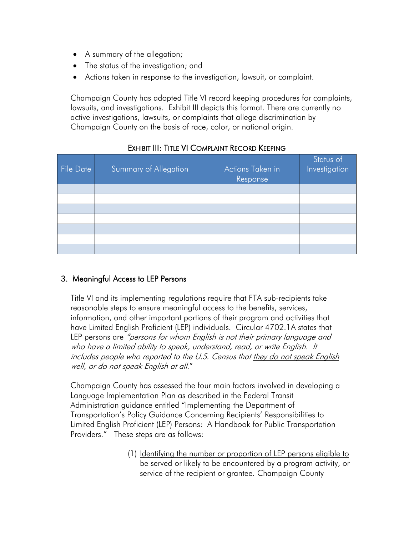- A summary of the allegation;
- The status of the investigation; and
- Actions taken in response to the investigation, lawsuit, or complaint.

Champaign County has adopted Title VI record keeping procedures for complaints, lawsuits, and investigations. Exhibit III depicts this format. There are currently no active investigations, lawsuits, or complaints that allege discrimination by Champaign County on the basis of race, color, or national origin.

| <b>File Date</b> | Summary of Allegation | Actions Taken in<br>Response | Status of<br>Investigation |
|------------------|-----------------------|------------------------------|----------------------------|
|                  |                       |                              |                            |
|                  |                       |                              |                            |
|                  |                       |                              |                            |
|                  |                       |                              |                            |
|                  |                       |                              |                            |
|                  |                       |                              |                            |
|                  |                       |                              |                            |

### EXHIBIT III: TITLE VI COMPLAINT RECORD KEEPING

#### 3. Meaningful Access to LEP Persons

Title VI and its implementing regulations require that FTA sub-recipients take reasonable steps to ensure meaningful access to the benefits, services, information, and other important portions of their program and activities that have Limited English Proficient (LEP) individuals. Circular 4702.1A states that LEP persons are "persons for whom English is not their primary language and who have a limited ability to speak, understand, read, or write English. It includes people who reported to the U.S. Census that they do not speak English well, or do not speak English at all."

Champaign County has assessed the four main factors involved in developing a Language Implementation Plan as described in the Federal Transit Administration guidance entitled "Implementing the Department of Transportation's Policy Guidance Concerning Recipients' Responsibilities to Limited English Proficient (LEP) Persons: A Handbook for Public Transportation Providers." These steps are as follows:

> (1) Identifying the number or proportion of LEP persons eligible to be served or likely to be encountered by a program activity, or service of the recipient or grantee. Champaign County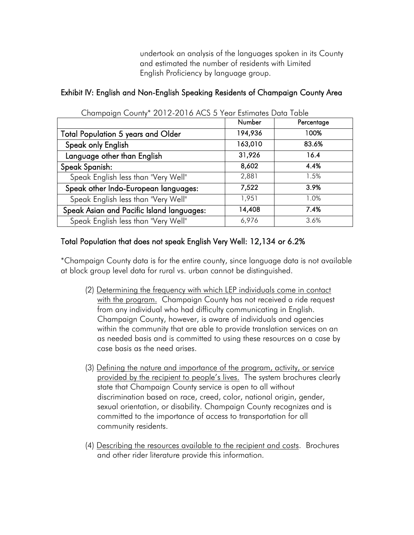undertook an analysis of the languages spoken in its County and estimated the number of residents with Limited English Proficiency by language group.

#### Exhibit IV: English and Non-English Speaking Residents of Champaign County Area

|                                           | Number  | Percentage |
|-------------------------------------------|---------|------------|
| <b>Total Population 5 years and Older</b> | 194,936 | 100%       |
| Speak only English                        | 163,010 | 83.6%      |
| Language other than English               | 31,926  | 16.4       |
| Speak Spanish:                            | 8,602   | 4.4%       |
| Speak English less than "Very Well"       | 2,881   | 1.5%       |
| Speak other Indo-European languages:      | 7,522   | 3.9%       |
| Speak English less than "Very Well"       | 1,951   | 1.0%       |
| Speak Asian and Pacific Island languages: | 14,408  | 7.4%       |
| Speak English less than "Very Well"       | 6,976   | 3.6%       |

## Champaign County\* 2012-2016 ACS 5 Year Estimates Data Table

#### Total Population that does not speak English Very Well: 12,134 or 6.2%

\*Champaign County data is for the entire county, since language data is not available at block group level data for rural vs. urban cannot be distinguished.

- (2) Determining the frequency with which LEP individuals come in contact with the program. Champaign County has not received a ride request from any individual who had difficulty communicating in English. Champaign County, however, is aware of individuals and agencies within the community that are able to provide translation services on an as needed basis and is committed to using these resources on a case by case basis as the need arises.
- (3) Defining the nature and importance of the program, activity, or service provided by the recipient to people's lives. The system brochures clearly state that Champaign County service is open to all without discrimination based on race, creed, color, national origin, gender, sexual orientation, or disability. Champaign County recognizes and is committed to the importance of access to transportation for all community residents.
- (4) Describing the resources available to the recipient and costs. Brochures and other rider literature provide this information.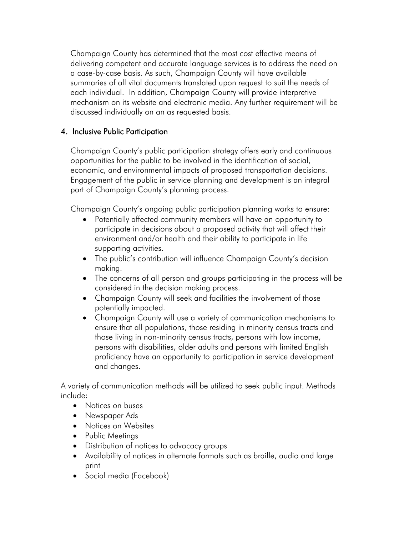Champaign County has determined that the most cost effective means of delivering competent and accurate language services is to address the need on a case-by-case basis. As such, Champaign County will have available summaries of all vital documents translated upon request to suit the needs of each individual. In addition, Champaign County will provide interpretive mechanism on its website and electronic media. Any further requirement will be discussed individually on an as requested basis.

#### 4. Inclusive Public Participation

Champaign County's public participation strategy offers early and continuous opportunities for the public to be involved in the identification of social, economic, and environmental impacts of proposed transportation decisions. Engagement of the public in service planning and development is an integral part of Champaign County's planning process.

Champaign County's ongoing public participation planning works to ensure:

- Potentially affected community members will have an opportunity to participate in decisions about a proposed activity that will affect their environment and/or health and their ability to participate in life supporting activities.
- The public's contribution will influence Champaign County's decision making.
- The concerns of all person and groups participating in the process will be considered in the decision making process.
- Champaign County will seek and facilities the involvement of those potentially impacted.
- Champaign County will use a variety of communication mechanisms to ensure that all populations, those residing in minority census tracts and those living in non-minority census tracts, persons with low income, persons with disabilities, older adults and persons with limited English proficiency have an opportunity to participation in service development and changes.

A variety of communication methods will be utilized to seek public input. Methods include:

- Notices on buses
- Newspaper Ads
- Notices on Websites
- Public Meetings
- Distribution of notices to advocacy groups
- Availability of notices in alternate formats such as braille, audio and large print
- Social media (Facebook)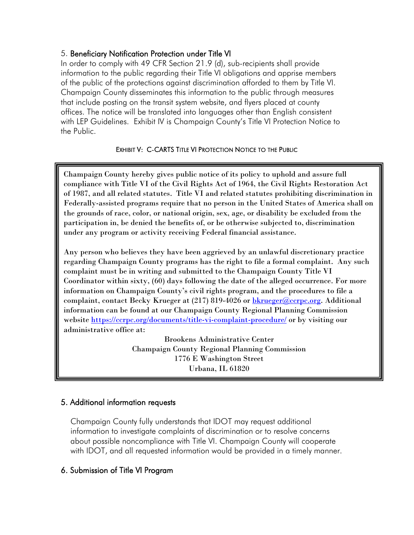#### 5. Beneficiary Notification Protection under Title VI

In order to comply with 49 CFR Section 21.9 (d), sub-recipients shall provide information to the public regarding their Title VI obligations and apprise members of the public of the protections against discrimination afforded to them by Title VI. Champaign County disseminates this information to the public through measures that include posting on the transit system website, and flyers placed at county offices. The notice will be translated into languages other than English consistent with LEP Guidelines. Exhibit IV is Champaign County's Title VI Protection Notice to the Public.

#### EXHIBIT V: C-CARTS TITLE VI PROTECTION NOTICE TO THE PUBLIC

Champaign County hereby gives public notice of its policy to uphold and assure full compliance with Title VI of the Civil Rights Act of 1964, the Civil Rights Restoration Act of 1987, and all related statutes. Title VI and related statutes prohibiting discrimination in Federally-assisted programs require that no person in the United States of America shall on the grounds of race, color, or national origin, sex, age, or disability be excluded from the participation in, be denied the benefits of, or be otherwise subjected to, discrimination under any program or activity receiving Federal financial assistance.

Any person who believes they have been aggrieved by an unlawful discretionary practice regarding Champaign County programs has the right to file a formal complaint. Any such complaint must be in writing and submitted to the Champaign County Title VI Coordinator within sixty, (60) days following the date of the alleged occurrence. For more information on Champaign County's civil rights program, and the procedures to file a complaint, contact Becky Krueger at (217) 819-4026 or **bkrueger@ccrpc.org**. Additional information can be found at our Champaign County Regional Planning Commission website<https://ccrpc.org/documents/title-vi-complaint-procedure/> or by visiting our administrative office at:

> Brookens Administrative Center Champaign County Regional Planning Commission 1776 E Washington Street Urbana, IL 61820

#### 5. Additional information requests

Champaign County fully understands that IDOT may request additional information to investigate complaints of discrimination or to resolve concerns about possible noncompliance with Title VI. Champaign County will cooperate with IDOT, and all requested information would be provided in a timely manner.

#### 6. Submission of Title VI Program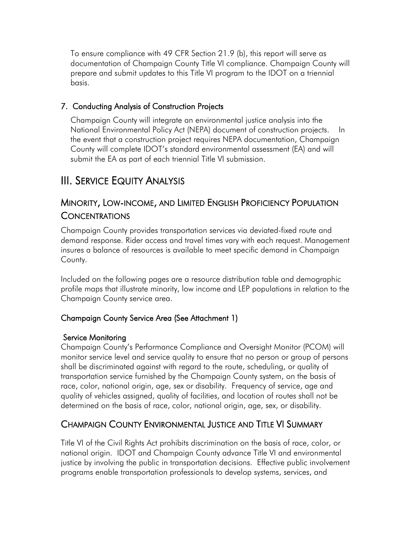To ensure compliance with 49 CFR Section 21.9 (b), this report will serve as documentation of Champaign County Title VI compliance. Champaign County will prepare and submit updates to this Title VI program to the IDOT on a triennial basis.

#### 7. Conducting Analysis of Construction Projects

Champaign County will integrate an environmental justice analysis into the National Environmental Policy Act (NEPA) document of construction projects. In the event that a construction project requires NEPA documentation, Champaign County will complete IDOT's standard environmental assessment (EA) and will submit the EA as part of each triennial Title VI submission.

## III. SERVICE EQUITY ANALYSIS

## MINORITY, LOW-INCOME, AND LIMITED ENGLISH PROFICIENCY POPULATION **CONCENTRATIONS**

Champaign County provides transportation services via deviated-fixed route and demand response. Rider access and travel times vary with each request. Management insures a balance of resources is available to meet specific demand in Champaign County.

Included on the following pages are a resource distribution table and demographic profile maps that illustrate minority, low income and LEP populations in relation to the Champaign County service area.

#### Champaign County Service Area (See Attachment 1)

#### Service Monitoring

Champaign County's Performance Compliance and Oversight Monitor (PCOM) will monitor service level and service quality to ensure that no person or group of persons shall be discriminated against with regard to the route, scheduling, or quality of transportation service furnished by the Champaign County system, on the basis of race, color, national origin, age, sex or disability. Frequency of service, age and quality of vehicles assigned, quality of facilities, and location of routes shall not be determined on the basis of race, color, national origin, age, sex, or disability.

## CHAMPAIGN COUNTY ENVIRONMENTAL JUSTICE AND TITLE VI SUMMARY

Title VI of the Civil Rights Act prohibits discrimination on the basis of race, color, or national origin. IDOT and Champaign County advance Title VI and environmental justice by involving the public in transportation decisions. Effective public involvement programs enable transportation professionals to develop systems, services, and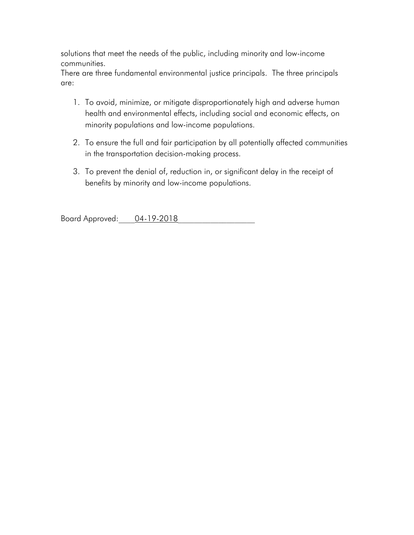solutions that meet the needs of the public, including minority and low-income communities.

There are three fundamental environmental justice principals. The three principals are:

- 1. To avoid, minimize, or mitigate disproportionately high and adverse human health and environmental effects, including social and economic effects, on minority populations and low-income populations.
- 2. To ensure the full and fair participation by all potentially affected communities in the transportation decision-making process.
- 3. To prevent the denial of, reduction in, or significant delay in the receipt of benefits by minority and low-income populations.

Board Approved: 04-19-2018